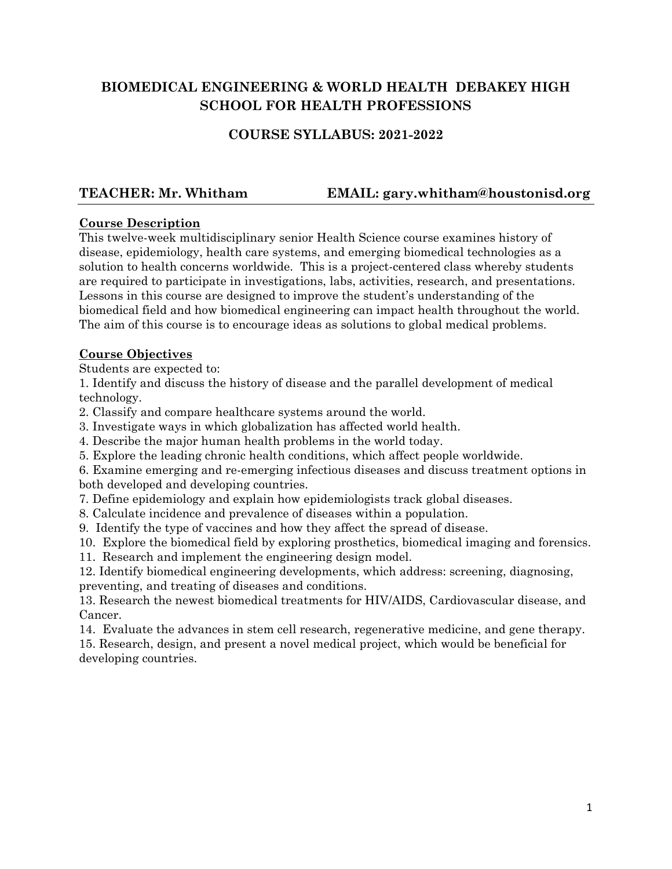# **BIOMEDICAL ENGINEERING & WORLD HEALTH DEBAKEY HIGH SCHOOL FOR HEALTH PROFESSIONS**

# **COURSE SYLLABUS: 2021-2022**

### **TEACHER: Mr. Whitham EMAIL: gary.whitham@houstonisd.org**

# **Course Description**

This twelve-week multidisciplinary senior Health Science course examines history of disease, epidemiology, health care systems, and emerging biomedical technologies as a solution to health concerns worldwide. This is a project-centered class whereby students are required to participate in investigations, labs, activities, research, and presentations. Lessons in this course are designed to improve the student's understanding of the biomedical field and how biomedical engineering can impact health throughout the world. The aim of this course is to encourage ideas as solutions to global medical problems.

# **Course Objectives**

Students are expected to:

1. Identify and discuss the history of disease and the parallel development of medical technology.

2. Classify and compare healthcare systems around the world.

3. Investigate ways in which globalization has affected world health.

4. Describe the major human health problems in the world today.

5. Explore the leading chronic health conditions, which affect people worldwide.

6. Examine emerging and re-emerging infectious diseases and discuss treatment options in both developed and developing countries.

7. Define epidemiology and explain how epidemiologists track global diseases.

8. Calculate incidence and prevalence of diseases within a population.

9. Identify the type of vaccines and how they affect the spread of disease.

10. Explore the biomedical field by exploring prosthetics, biomedical imaging and forensics.

11. Research and implement the engineering design model.

12. Identify biomedical engineering developments, which address: screening, diagnosing, preventing, and treating of diseases and conditions.

13. Research the newest biomedical treatments for HIV/AIDS, Cardiovascular disease, and Cancer.

14. Evaluate the advances in stem cell research, regenerative medicine, and gene therapy.

15. Research, design, and present a novel medical project, which would be beneficial for developing countries.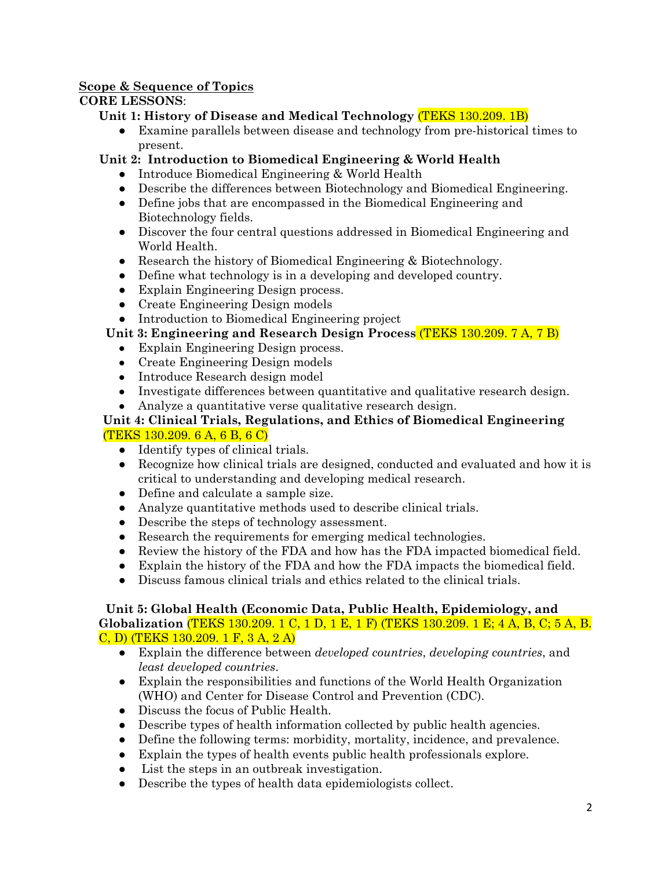# **Scope & Sequence of Topics**

### **CORE LESSONS**:

# **Unit 1: History of Disease and Medical Technology** (TEKS 130.209. 1B)

● Examine parallels between disease and technology from pre-historical times to present.

# **Unit 2: Introduction to Biomedical Engineering & World Health**

- Introduce Biomedical Engineering & World Health
- Describe the differences between Biotechnology and Biomedical Engineering.
- Define jobs that are encompassed in the Biomedical Engineering and Biotechnology fields.
- Discover the four central questions addressed in Biomedical Engineering and World Health.
- Research the history of Biomedical Engineering & Biotechnology.
- Define what technology is in a developing and developed country.
- Explain Engineering Design process.
- Create Engineering Design models
- Introduction to Biomedical Engineering project

# **Unit 3: Engineering and Research Design Process** (TEKS 130.209. 7 A, 7 B)

- Explain Engineering Design process.
- Create Engineering Design models
- Introduce Research design model
- Investigate differences between quantitative and qualitative research design.
- Analyze a quantitative verse qualitative research design.

#### **Unit 4: Clinical Trials, Regulations, and Ethics of Biomedical Engineering**  (TEKS 130.209. 6 A, 6 B, 6 C)

- Identify types of clinical trials.
- Recognize how clinical trials are designed, conducted and evaluated and how it is critical to understanding and developing medical research.
- Define and calculate a sample size.
- Analyze quantitative methods used to describe clinical trials.
- Describe the steps of technology assessment.
- Research the requirements for emerging medical technologies.
- Review the history of the FDA and how has the FDA impacted biomedical field.
- Explain the history of the FDA and how the FDA impacts the biomedical field.
- Discuss famous clinical trials and ethics related to the clinical trials.

#### **Unit 5: Global Health (Economic Data, Public Health, Epidemiology, and Globalization** (TEKS 130.209. 1 C, 1 D, 1 E, 1 F) (TEKS 130.209. 1 E; 4 A, B, C; 5 A, B. C, D) (TEKS 130.209. 1 F, 3 A, 2 A)

- Explain the difference between *developed countries*, *developing countries*, and *least developed countries*.
- Explain the responsibilities and functions of the World Health Organization (WHO) and Center for Disease Control and Prevention (CDC).
- Discuss the focus of Public Health.
- Describe types of health information collected by public health agencies.
- Define the following terms: morbidity, mortality, incidence, and prevalence.
- Explain the types of health events public health professionals explore.
- List the steps in an outbreak investigation.
- Describe the types of health data epidemiologists collect.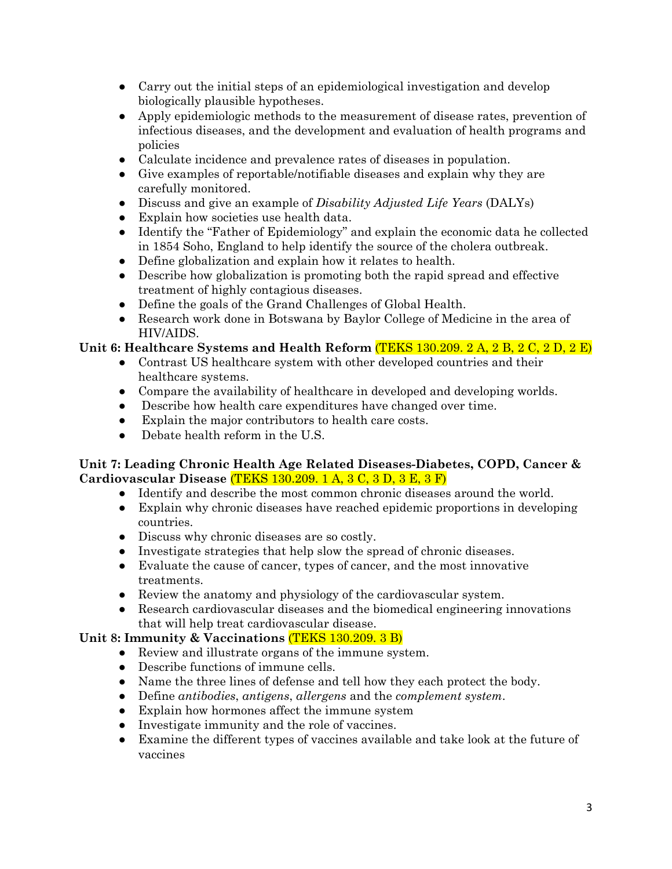- Carry out the initial steps of an epidemiological investigation and develop biologically plausible hypotheses.
- Apply epidemiologic methods to the measurement of disease rates, prevention of infectious diseases, and the development and evaluation of health programs and policies
- Calculate incidence and prevalence rates of diseases in population.
- Give examples of reportable/notifiable diseases and explain why they are carefully monitored.
- Discuss and give an example of *Disability Adjusted Life Years* (DALYs)
- Explain how societies use health data.
- Identify the "Father of Epidemiology" and explain the economic data he collected in 1854 Soho, England to help identify the source of the cholera outbreak.
- Define globalization and explain how it relates to health.
- Describe how globalization is promoting both the rapid spread and effective treatment of highly contagious diseases.
- Define the goals of the Grand Challenges of Global Health.
- Research work done in Botswana by Baylor College of Medicine in the area of HIV/AIDS.

# **Unit 6: Healthcare Systems and Health Reform** (TEKS 130.209. 2 A, 2 B, 2 C, 2 D, 2 E)

- Contrast US healthcare system with other developed countries and their healthcare systems.
- Compare the availability of healthcare in developed and developing worlds.
- Describe how health care expenditures have changed over time.
- Explain the major contributors to health care costs.
- Debate health reform in the U.S.

# **Unit 7: Leading Chronic Health Age Related Diseases-Diabetes, COPD, Cancer & Cardiovascular Disease** (TEKS 130.209. 1 A, 3 C, 3 D, 3 E, 3 F)

- Identify and describe the most common chronic diseases around the world.
- Explain why chronic diseases have reached epidemic proportions in developing countries.
- Discuss why chronic diseases are so costly.
- Investigate strategies that help slow the spread of chronic diseases.
- Evaluate the cause of cancer, types of cancer, and the most innovative treatments.
- Review the anatomy and physiology of the cardiovascular system.
- Research cardiovascular diseases and the biomedical engineering innovations that will help treat cardiovascular disease.

# **Unit 8: Immunity & Vaccinations** (TEKS 130.209. 3 B)

- Review and illustrate organs of the immune system.
- Describe functions of immune cells.
- Name the three lines of defense and tell how they each protect the body.
- Define *antibodies*, *antigens*, *allergens* and the *complement system*.
- Explain how hormones affect the immune system
- Investigate immunity and the role of vaccines.
- Examine the different types of vaccines available and take look at the future of vaccines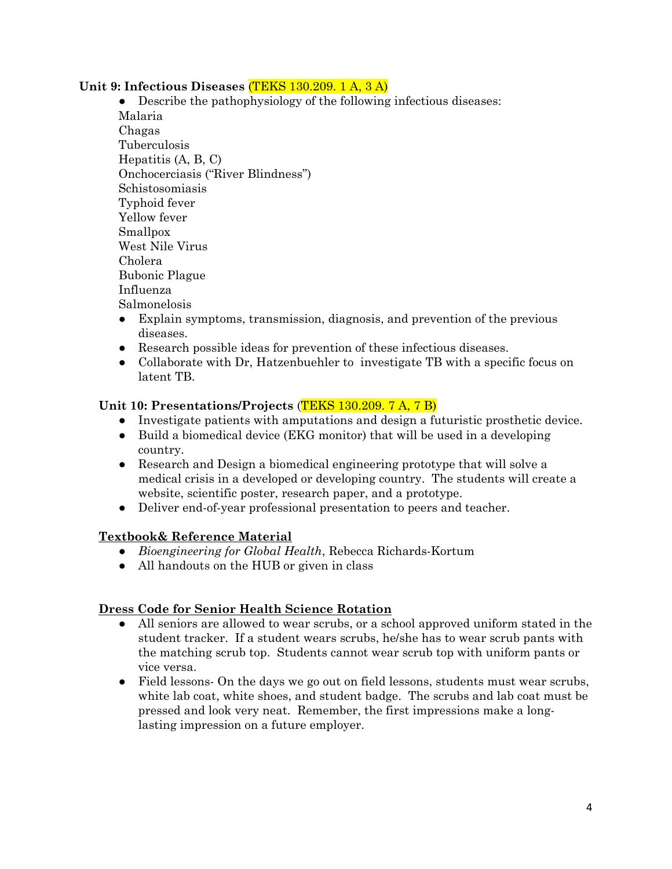#### **Unit 9: Infectious Diseases** (TEKS 130.209. 1 A, 3 A)

- Describe the pathophysiology of the following infectious diseases: Malaria Chagas Tuberculosis Hepatitis (A, B, C) Onchocerciasis ("River Blindness") Schistosomiasis Typhoid fever Yellow fever Smallpox West Nile Virus Cholera Bubonic Plague Influenza Salmonelosis
- Explain symptoms, transmission, diagnosis, and prevention of the previous diseases.
- Research possible ideas for prevention of these infectious diseases.
- Collaborate with Dr, Hatzenbuehler to investigate TB with a specific focus on latent TB.

#### **Unit 10: Presentations/Projects** (TEKS 130.209. 7 A, 7 B)

- Investigate patients with amputations and design a futuristic prosthetic device.
- Build a biomedical device (EKG monitor) that will be used in a developing country.
- Research and Design a biomedical engineering prototype that will solve a medical crisis in a developed or developing country. The students will create a website, scientific poster, research paper, and a prototype.
- Deliver end-of-year professional presentation to peers and teacher.

#### **Textbook& Reference Material**

- *Bioengineering for Global Health*, Rebecca Richards-Kortum
- All handouts on the HUB or given in class

#### **Dress Code for Senior Health Science Rotation**

- All seniors are allowed to wear scrubs, or a school approved uniform stated in the student tracker. If a student wears scrubs, he/she has to wear scrub pants with the matching scrub top. Students cannot wear scrub top with uniform pants or vice versa.
- Field lessons- On the days we go out on field lessons, students must wear scrubs, white lab coat, white shoes, and student badge. The scrubs and lab coat must be pressed and look very neat. Remember, the first impressions make a longlasting impression on a future employer.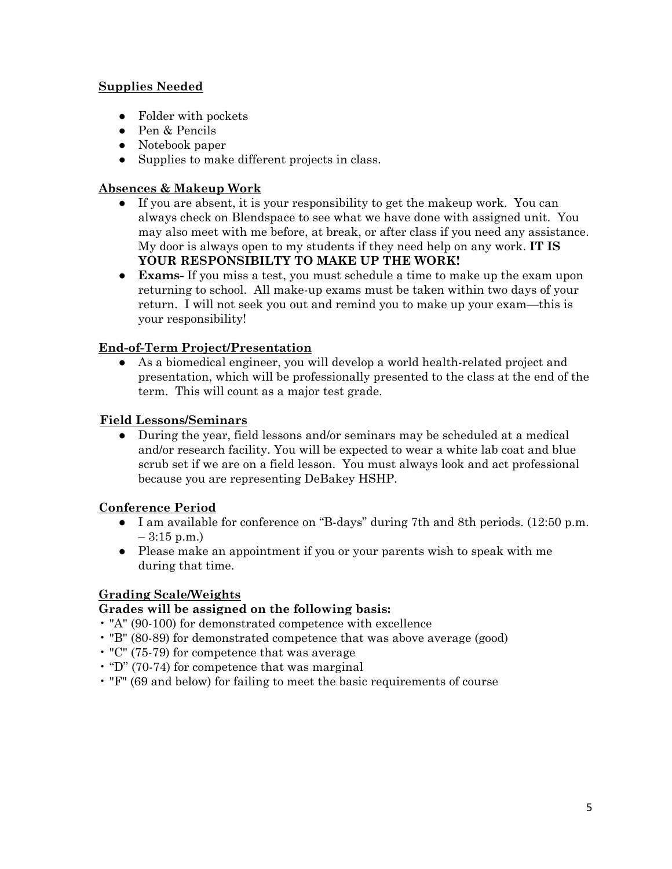# **Supplies Needed**

- Folder with pockets
- Pen & Pencils
- Notebook paper
- Supplies to make different projects in class.

# **Absences & Makeup Work**

- If you are absent, it is your responsibility to get the makeup work. You can always check on Blendspace to see what we have done with assigned unit. You may also meet with me before, at break, or after class if you need any assistance. My door is always open to my students if they need help on any work. **IT IS YOUR RESPONSIBILTY TO MAKE UP THE WORK!**
- **Exams-** If you miss a test, you must schedule a time to make up the exam upon returning to school. All make-up exams must be taken within two days of your return. I will not seek you out and remind you to make up your exam—this is your responsibility!

# **End-of-Term Project/Presentation**

● As a biomedical engineer, you will develop a world health-related project and presentation, which will be professionally presented to the class at the end of the term. This will count as a major test grade.

#### **Field Lessons/Seminars**

● During the year, field lessons and/or seminars may be scheduled at a medical and/or research facility. You will be expected to wear a white lab coat and blue scrub set if we are on a field lesson. You must always look and act professional because you are representing DeBakey HSHP.

# **Conference Period**

- I am available for conference on "B-days" during 7th and 8th periods. (12:50 p.m.  $-3:15$  p.m.)
- Please make an appointment if you or your parents wish to speak with me during that time.

# **Grading Scale/Weights**

# **Grades will be assigned on the following basis:**

- "A" (90-100) for demonstrated competence with excellence
- "B" (80-89) for demonstrated competence that was above average (good)
- "C" (75-79) for competence that was average
- "D" (70-74) for competence that was marginal
- "F" (69 and below) for failing to meet the basic requirements of course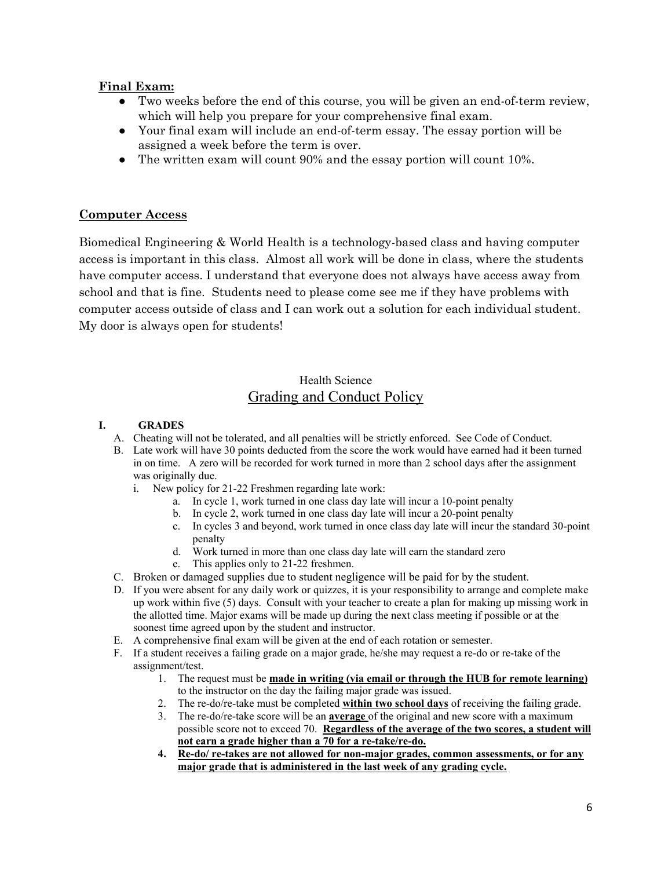#### **Final Exam:**

- Two weeks before the end of this course, you will be given an end-of-term review, which will help you prepare for your comprehensive final exam.
- Your final exam will include an end-of-term essay. The essay portion will be assigned a week before the term is over.
- The written exam will count 90% and the essay portion will count 10%.

#### **Computer Access**

Biomedical Engineering & World Health is a technology-based class and having computer access is important in this class. Almost all work will be done in class, where the students have computer access. I understand that everyone does not always have access away from school and that is fine. Students need to please come see me if they have problems with computer access outside of class and I can work out a solution for each individual student. My door is always open for students!

# Health Science Grading and Conduct Policy

#### **I. GRADES**

- A. Cheating will not be tolerated, and all penalties will be strictly enforced. See Code of Conduct.
- B. Late work will have 30 points deducted from the score the work would have earned had it been turned in on time. A zero will be recorded for work turned in more than 2 school days after the assignment was originally due.
	- i. New policy for 21-22 Freshmen regarding late work:
		- a. In cycle 1, work turned in one class day late will incur a 10-point penalty
			- b. In cycle 2, work turned in one class day late will incur a 20-point penalty
			- c. In cycles 3 and beyond, work turned in once class day late will incur the standard 30-point penalty
			- d. Work turned in more than one class day late will earn the standard zero
			- e. This applies only to 21-22 freshmen.
- C. Broken or damaged supplies due to student negligence will be paid for by the student.
- D. If you were absent for any daily work or quizzes, it is your responsibility to arrange and complete make up work within five (5) days. Consult with your teacher to create a plan for making up missing work in the allotted time. Major exams will be made up during the next class meeting if possible or at the soonest time agreed upon by the student and instructor.
- E. A comprehensive final exam will be given at the end of each rotation or semester.
- F. If a student receives a failing grade on a major grade, he/she may request a re-do or re-take of the assignment/test.
	- 1. The request must be **made in writing (via email or through the HUB for remote learning)** to the instructor on the day the failing major grade was issued.
	- 2. The re-do/re-take must be completed **within two school days** of receiving the failing grade.
	- 3. The re-do/re-take score will be an **average** of the original and new score with a maximum possible score not to exceed 70. **Regardless of the average of the two scores, a student will not earn a grade higher than a 70 for a re-take/re-do.**
	- **4. Re-do/ re-takes are not allowed for non-major grades, common assessments, or for any major grade that is administered in the last week of any grading cycle.**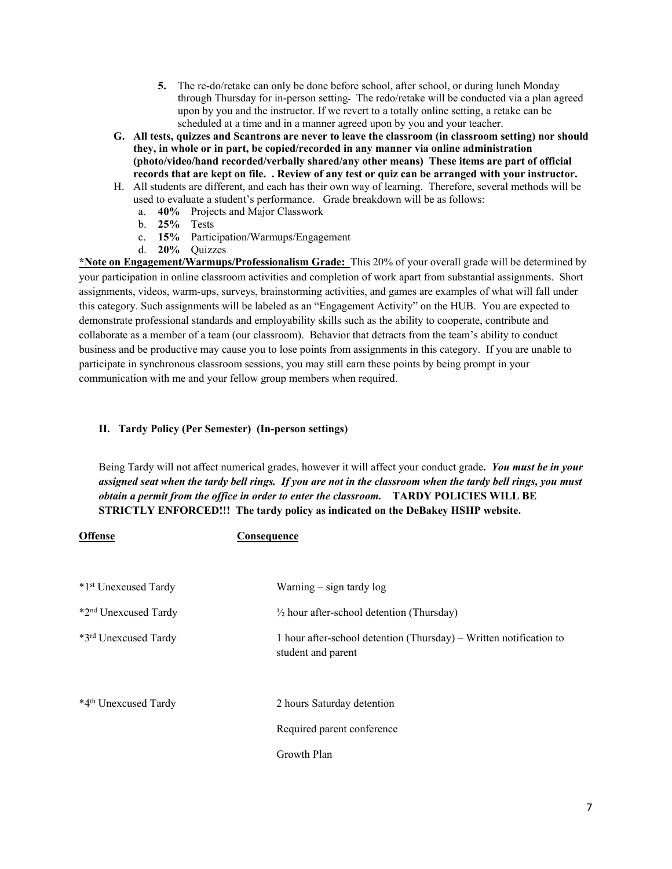- **5.** The re-do/retake can only be done before school, after school, or during lunch Monday through Thursday for in-person setting- The redo/retake will be conducted via a plan agreed upon by you and the instructor. If we revert to a totally online setting, a retake can be scheduled at a time and in a manner agreed upon by you and your teacher.
- **G. All tests, quizzes and Scantrons are never to leave the classroom (in classroom setting) nor should they, in whole or in part, be copied/recorded in any manner via online administration (photo/video/hand recorded/verbally shared/any other means) These items are part of official records that are kept on file. . Review of any test or quiz can be arranged with your instructor.**
- H. All students are different, and each has their own way of learning. Therefore, several methods will be used to evaluate a student's performance. Grade breakdown will be as follows:
	- a. **40%** Projects and Major Classwork
	- b. **25%** Tests
	- c. **15%** Participation/Warmups/Engagement
	- d. **20%** Quizzes

**\*Note on Engagement/Warmups/Professionalism Grade:** This 20% of your overall grade will be determined by your participation in online classroom activities and completion of work apart from substantial assignments. Short assignments, videos, warm-ups, surveys, brainstorming activities, and games are examples of what will fall under this category. Such assignments will be labeled as an "Engagement Activity" on the HUB. You are expected to demonstrate professional standards and employability skills such as the ability to cooperate, contribute and collaborate as a member of a team (our classroom). Behavior that detracts from the team's ability to conduct business and be productive may cause you to lose points from assignments in this category. If you are unable to participate in synchronous classroom sessions, you may still earn these points by being prompt in your communication with me and your fellow group members when required.

#### **II. Tardy Policy (Per Semester) (In-person settings)**

**Offense Consequence** 

 Being Tardy will not affect numerical grades, however it will affect your conduct grade**.** *You must be in your assigned seat when the tardy bell rings. If you are not in the classroom when the tardy bell rings, you must obtain a permit from the office in order to enter the classroom.* **TARDY POLICIES WILL BE STRICTLY ENFORCED!!! The tardy policy as indicated on the DeBakey HSHP website.** 

| *1 <sup>st</sup> Unexcused Tardy | Warning $-$ sign tardy $log$                                                             |
|----------------------------------|------------------------------------------------------------------------------------------|
| *2 <sup>nd</sup> Unexcused Tardy | $\frac{1}{2}$ hour after-school detention (Thursday)                                     |
| *3rd Unexcused Tardy             | 1 hour after-school detention (Thursday) – Written notification to<br>student and parent |
| *4 <sup>th</sup> Unexcused Tardy | 2 hours Saturday detention                                                               |
|                                  | Required parent conference                                                               |
|                                  | Growth Plan                                                                              |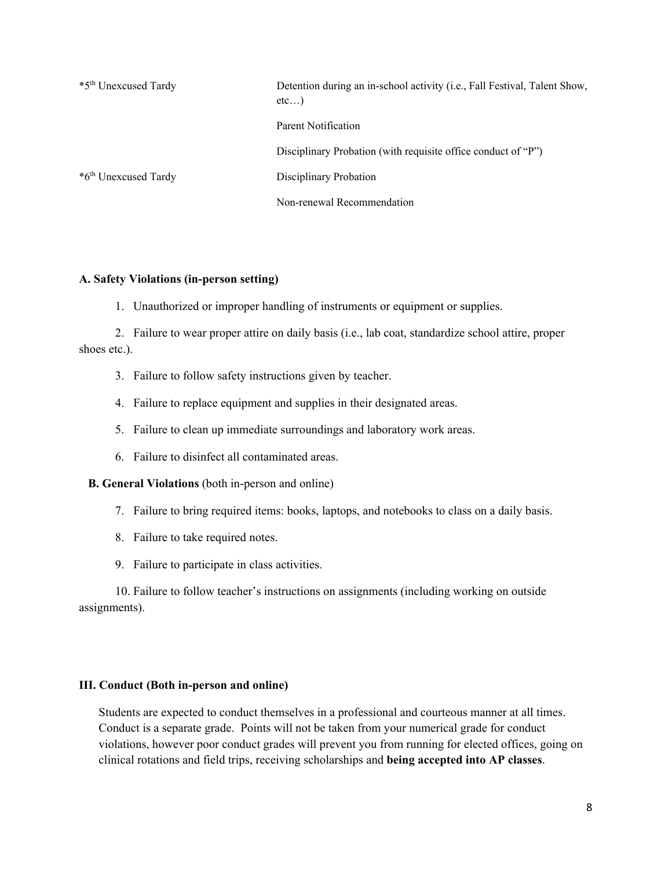| *5 <sup>th</sup> Unexcused Tardy | Detention during an in-school activity (i.e., Fall Festival, Talent Show,<br>etc) |
|----------------------------------|-----------------------------------------------------------------------------------|
|                                  | Parent Notification                                                               |
|                                  | Disciplinary Probation (with requisite office conduct of "P")                     |
| *6 <sup>th</sup> Unexcused Tardy | Disciplinary Probation                                                            |
|                                  | Non-renewal Recommendation                                                        |

#### **A. Safety Violations (in-person setting)**

1. Unauthorized or improper handling of instruments or equipment or supplies.

 2. Failure to wear proper attire on daily basis (i.e., lab coat, standardize school attire, proper shoes etc.).

- 3. Failure to follow safety instructions given by teacher.
- 4. Failure to replace equipment and supplies in their designated areas.
- 5. Failure to clean up immediate surroundings and laboratory work areas.
- 6. Failure to disinfect all contaminated areas.

#### **B. General Violations** (both in-person and online)

- 7. Failure to bring required items: books, laptops, and notebooks to class on a daily basis.
- 8. Failure to take required notes.
- 9. Failure to participate in class activities.

 10. Failure to follow teacher's instructions on assignments (including working on outside assignments).

#### **III. Conduct (Both in-person and online)**

 Students are expected to conduct themselves in a professional and courteous manner at all times. Conduct is a separate grade. Points will not be taken from your numerical grade for conduct violations, however poor conduct grades will prevent you from running for elected offices, going on clinical rotations and field trips, receiving scholarships and **being accepted into AP classes**.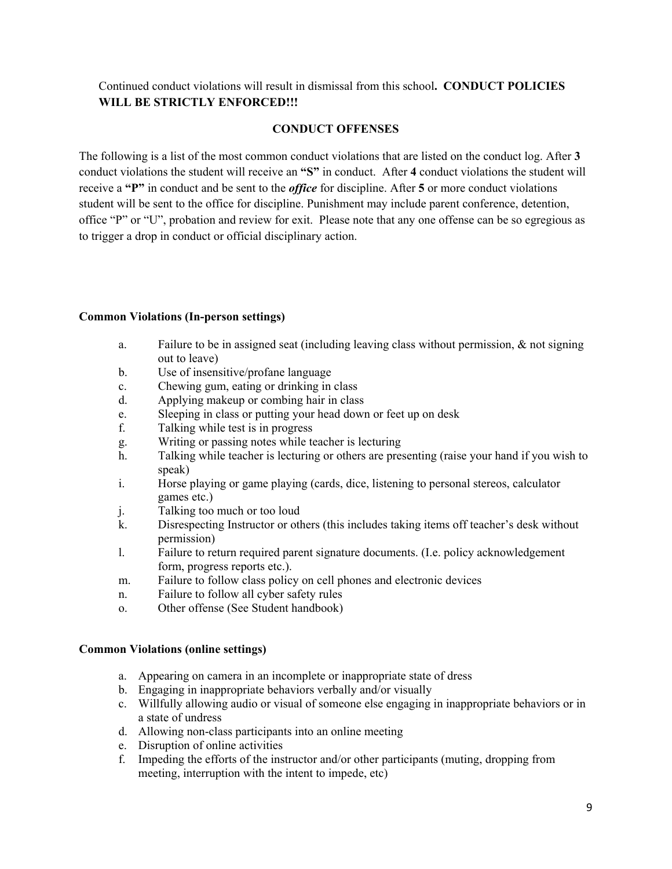#### Continued conduct violations will result in dismissal from this school**. CONDUCT POLICIES WILL BE STRICTLY ENFORCED!!!**

#### **CONDUCT OFFENSES**

The following is a list of the most common conduct violations that are listed on the conduct log. After **3** conduct violations the student will receive an **"S"** in conduct. After **4** conduct violations the student will receive a **"P"** in conduct and be sent to the *office* for discipline. After **5** or more conduct violations student will be sent to the office for discipline. Punishment may include parent conference, detention, office "P" or "U", probation and review for exit. Please note that any one offense can be so egregious as to trigger a drop in conduct or official disciplinary action.

#### **Common Violations (In-person settings)**

- a. Failure to be in assigned seat (including leaving class without permission, & not signing out to leave)
- b. Use of insensitive/profane language
- c. Chewing gum, eating or drinking in class
- d. Applying makeup or combing hair in class
- e. Sleeping in class or putting your head down or feet up on desk
- f. Talking while test is in progress
- g. Writing or passing notes while teacher is lecturing
- h. Talking while teacher is lecturing or others are presenting (raise your hand if you wish to speak)
- i. Horse playing or game playing (cards, dice, listening to personal stereos, calculator games etc.)
- j. Talking too much or too loud
- k. Disrespecting Instructor or others (this includes taking items off teacher's desk without permission)
- l. Failure to return required parent signature documents. (I.e. policy acknowledgement form, progress reports etc.).
- m. Failure to follow class policy on cell phones and electronic devices
- n. Failure to follow all cyber safety rules
- o. Other offense (See Student handbook)

#### **Common Violations (online settings)**

- a. Appearing on camera in an incomplete or inappropriate state of dress
- b. Engaging in inappropriate behaviors verbally and/or visually
- c. Willfully allowing audio or visual of someone else engaging in inappropriate behaviors or in a state of undress
- d. Allowing non-class participants into an online meeting
- e. Disruption of online activities
- f. Impeding the efforts of the instructor and/or other participants (muting, dropping from meeting, interruption with the intent to impede, etc)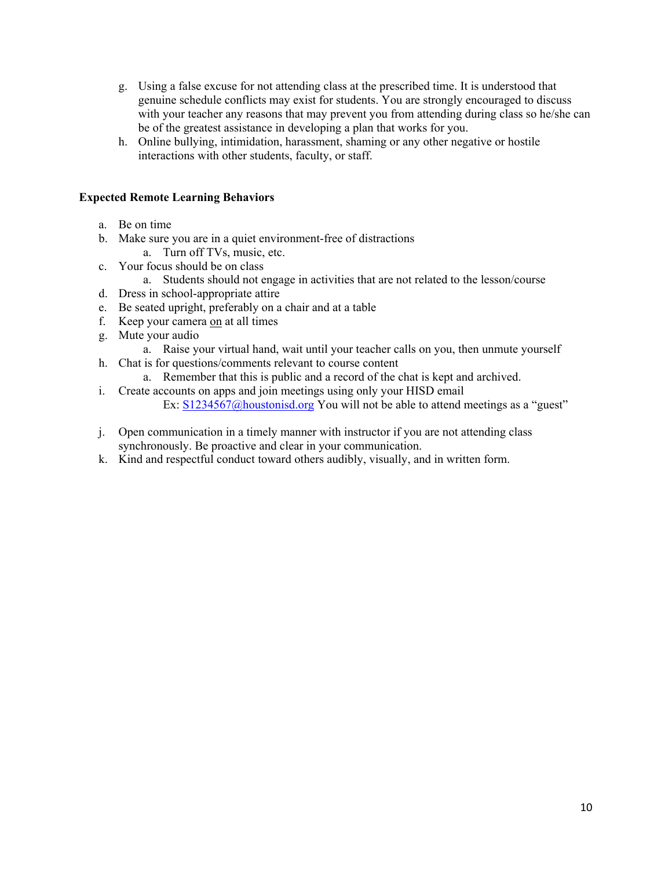- g. Using a false excuse for not attending class at the prescribed time. It is understood that genuine schedule conflicts may exist for students. You are strongly encouraged to discuss with your teacher any reasons that may prevent you from attending during class so he/she can be of the greatest assistance in developing a plan that works for you.
- h. Online bullying, intimidation, harassment, shaming or any other negative or hostile interactions with other students, faculty, or staff.

#### **Expected Remote Learning Behaviors**

- a. Be on time
- b. Make sure you are in a quiet environment-free of distractions a. Turn off TVs, music, etc.
- c. Your focus should be on class
	- a. Students should not engage in activities that are not related to the lesson/course
- d. Dress in school-appropriate attire
- e. Be seated upright, preferably on a chair and at a table
- f. Keep your camera on at all times
- g. Mute your audio
	- a. Raise your virtual hand, wait until your teacher calls on you, then unmute yourself
- h. Chat is for questions/comments relevant to course content
	- a. Remember that this is public and a record of the chat is kept and archived.
- i. Create accounts on apps and join meetings using only your HISD email Ex: S1234567@houstonisd.org You will not be able to attend meetings as a "guest"
- j. Open communication in a timely manner with instructor if you are not attending class synchronously. Be proactive and clear in your communication.
- k. Kind and respectful conduct toward others audibly, visually, and in written form.